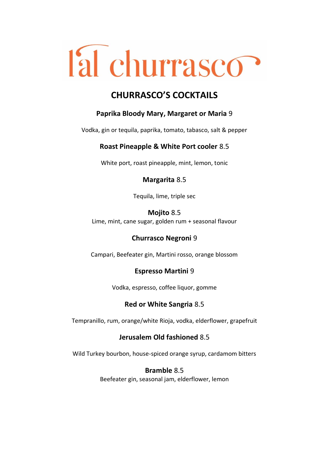# l'al churrasco?

# **CHURRASCO'S COCKTAILS**

# **Paprika Bloody Mary, Margaret or Maria** 9

Vodka, gin or tequila, paprika, tomato, tabasco, salt & pepper

# **Roast Pineapple & White Port cooler** 8.5

White port, roast pineapple, mint, lemon, tonic

### **Margarita** 8.5

Tequila, lime, triple sec

### **Mojito** 8.5

Lime, mint, cane sugar, golden rum + seasonal flavour

# **Churrasco Negroni** 9

Campari, Beefeater gin, Martini rosso, orange blossom

# **Espresso Martini** 9

Vodka, espresso, coffee liquor, gomme

# **Red or White Sangria** 8.5

Tempranillo, rum, orange/white Rioja, vodka, elderflower, grapefruit

# **Jerusalem Old fashioned** 8.5

Wild Turkey bourbon, house-spiced orange syrup, cardamom bitters

# **Bramble** 8.5

Beefeater gin, seasonal jam, elderflower, lemon